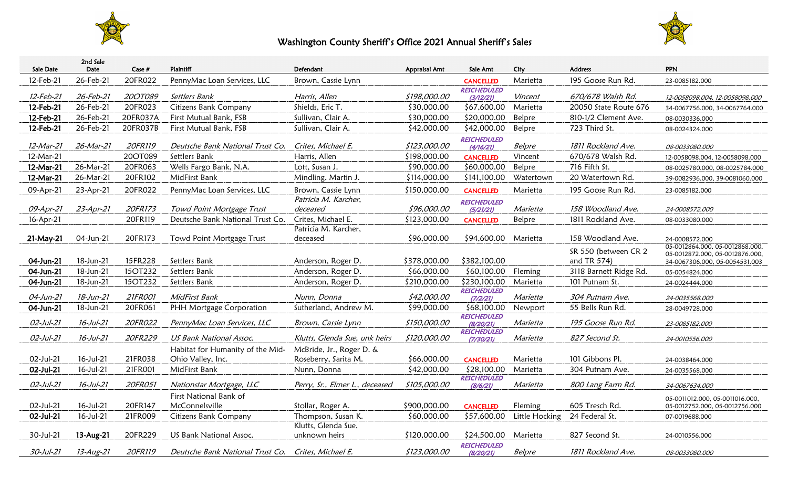

## Washington County Sheriff's Office 2021 Annual Sheriff's Sales



| <b>Sale Date</b> | 2nd Sale<br>Date | Case $#$ | Plaintiff                        | Defendant                      | Appraisal Amt | Sale Amt                               | City           | <b>Address</b>         | <b>PPN</b>                                        |
|------------------|------------------|----------|----------------------------------|--------------------------------|---------------|----------------------------------------|----------------|------------------------|---------------------------------------------------|
| 12-Feb-21        | 26-Feb-21        | 20FR022  | PennyMac Loan Services, LLC      | Brown, Cassie Lynn             |               |                                        | Marietta       | 195 Goose Run Rd.      |                                                   |
|                  |                  |          |                                  |                                |               | <b>CANCELLED</b><br><b>RESCHEDULED</b> |                |                        | 23-0085182.000                                    |
| 12-Feb-21        | 26-Feb-21        | 20OT089  | Settlers Bank                    | Harris, Allen                  | \$198,000.00  | (3/12/21)                              | Vincent        | 670/678 Walsh Rd.      | 12-0058098.004, 12-0058098.000                    |
| 12-Feb-21        | 26-Feb-21        | 20FR023  | <b>Citizens Bank Company</b>     | Shields, Eric T.               | \$30,000.00   | \$67,600.00                            | Marietta       | 20050 State Route 676  | 34-0067756.000, 34-0067764.000                    |
| 12-Feb-21        | 26-Feb-21        | 20FR037A | First Mutual Bank, FSB           | Sullivan, Clair A.             | \$30,000.00   | \$20,000.00                            | Belpre         | 810-1/2 Clement Ave.   | 08-0030336.000                                    |
| 12-Feb-21        | 26-Feb-21        | 20FR037B | First Mutual Bank, FSB           | Sullivan, Clair A.             | \$42,000.00   | \$42,000.00                            | Belpre         | 723 Third St.          | 08-0024324.000                                    |
|                  |                  |          |                                  |                                |               | <b>RESCHEDULED</b>                     |                |                        |                                                   |
| 12-Mar-21        | 26-Mar-21        | 20FR119  | Deutsche Bank National Trust Co. | Crites, Michael E.             | \$123,000.00  | (4/16/21)                              | Belpre         | 1811 Rockland Ave.     | 08-0033080.000                                    |
| 12-Mar-21        |                  | 20OT089  | Settlers Bank                    | Harris, Allen                  | \$198,000.00  | <b>CANCELLED</b>                       | Vincent        | 670/678 Walsh Rd.      | 12-0058098.004, 12-0058098.000                    |
| 12-Mar-21        | 26-Mar-21        | 20FR063  | Wells Fargo Bank, N.A.           | Lott, Susan J.                 | \$90,000.00   | \$60,000.00                            | Belpre         | 716 Fifth St.          | 08-0025780.000, 08-0025784.000                    |
| 12-Mar-21        | 26-Mar-21        | 20FR102  | MidFirst Bank                    | Mindling, Martin J.            | \$114,000.00  | \$141,100.00                           | Watertown      | 20 Watertown Rd.       | 39-0082936.000, 39-0081060.000                    |
| 09-Apr-21        | 23-Apr-21        | 20FR022  | PennyMac Loan Services, LLC      | Brown, Cassie Lynn             | \$150,000.00  | <b>CANCELLED</b>                       | Marietta       | 195 Goose Run Rd.      | 23-0085182.000                                    |
|                  |                  |          |                                  | Patricia M. Karcher,           |               | RESCHEDULED                            |                |                        |                                                   |
| 09-Apr-21        | $23$ -Apr- $21$  | 20FR173  | Towd Point Mortgage Trust        | deceased                       | \$96,000.00   | (5/21/21)                              | Marietta       | 158 Woodland Ave.      | 24-0008572.000                                    |
| 16-Apr-21        |                  | 20FR119  | Deutsche Bank National Trust Co. | Crites, Michael E.             | \$123,000.00  | <b>CANCELLED</b>                       | Belpre         | 1811 Rockland Ave.     | 08-0033080.000                                    |
|                  |                  |          |                                  | Patricia M. Karcher,           |               |                                        |                |                        |                                                   |
| 21-May-21        | 04-Jun-21        | 20FR173  | Towd Point Mortgage Trust        | deceased                       | \$96,000.00   | \$94,600.00                            | Marietta       | 158 Woodland Ave.      | 24-0008572.000<br>05-0012864.000, 05-0012868.000, |
|                  |                  |          |                                  |                                |               |                                        |                | SR 550 (between CR 2   | 05-0012872.000, 05-0012876.000,                   |
| 04-Jun-21        | 18-Jun-21        | 15FR228  | Settlers Bank                    | Anderson, Roger D.             | \$378,000.00  | \$382,100.00                           |                | and TR 574)            | 34-0067306.000, 05-0054531.003                    |
| 04-Jun-21        | 18-Jun-21        | 15OT232  | Settlers Bank                    | Anderson, Roger D.             | \$66,000.00   | \$60,100.00                            | Fleming        | 3118 Barnett Ridge Rd. | 05-0054824.000                                    |
| 04-Jun-21        | 18-Jun-21        | 15OT232  | Settlers Bank                    | Anderson, Roger D.             | \$210,000.00  | \$230,100.00                           | Marietta       | 101 Putnam St.         | 24-0024444.000                                    |
| 04-Jun-21        | 18-Jun-21        | 21FR001  | MidFirst Bank                    | Nunn, Donna                    | \$42,000.00   | <b>RESCHEDULED</b><br>(7/2/21)         | Marietta       | 304 Putnam Ave.        | 24-0035568.000                                    |
| 04-Jun-21        | 18-Jun-21        | 20FR061  | PHH Mortgage Corporation         | Sutherland, Andrew M.          | \$99,000.00   | \$68,100.00                            | Newport        | 55 Bells Run Rd.       | 28-0049728.000                                    |
|                  |                  |          |                                  |                                |               | RESCHEDULED                            |                |                        |                                                   |
| $02$ -Jul-21     | $16$ -Jul-21     | 20FR022  | PennyMac Loan Services, LLC      | Brown, Cassie Lynn             | \$150,000.00  | (8/20/21)<br>RESCHEDULED               | Marietta       | 195 Goose Run Rd.      | 23-0085182.000                                    |
| 02-Jul-21        | $16$ -Jul-21     | 20FR229  | <b>US Bank National Assoc.</b>   | Klutts, Glenda Sue, unk heirs  | \$120,000.00  | (7/30/21)                              | Marietta       | 827 Second St.         | 24-0010556.000                                    |
|                  |                  |          | Habitat for Humanity of the Mid- | McBride, Jr., Roger D. &       |               |                                        |                |                        |                                                   |
| 02-Jul-21        | 16-Jul-21        | 21FR038  | Ohio Valley, Inc.                | Roseberry, Sarita M.           | \$66,000.00   | <b>CANCELLED</b>                       | Marietta       | 101 Gibbons Pl.        | 24-0038464.000                                    |
| 02-Jul-21        | 16-Jul-21        | 21FR001  | MidFirst Bank                    | Nunn, Donna                    | \$42,000.00   | \$28,100.00                            | Marietta       | 304 Putnam Ave.        | 24-0035568.000                                    |
| $02$ -Jul-21     | $16$ -Jul-21     | 20FR051  | Nationstar Mortgage, LLC         | Perry, Sr., Elmer L., deceased | \$105,000.00  | <b>RESCHEDULED</b><br>(8/6/21)         | Marietta       | 800 Lang Farm Rd.      | 34-0067634.000                                    |
|                  |                  |          | First National Bank of           |                                |               |                                        |                |                        | 05-0011012.000, 05-0011016.000,                   |
| 02-Jul-21        | 16-Jul-21        | 20FR147  | McConnelsville                   | Stollar, Roger A.              | \$900,000.00  | <b>CANCELLED</b>                       | Fleming        | 605 Tresch Rd.         | 05-0012752.000, 05-0012756.000                    |
| 02-Jul-21        | 16-Jul-21        | 21FR009  | Citizens Bank Company            | Thompson, Susan K.             | \$60,000.00   | \$57,600.00                            | Little Hocking | 24 Federal St.         | 07-0019688.000                                    |
|                  |                  |          |                                  | Klutts, Glenda Sue,            |               |                                        |                |                        |                                                   |
| 30-Jul-21        | 13-Aug-21        | 20FR229  | US Bank National Assoc.          | unknown heirs                  | \$120,000.00  | \$24,500.00                            | Marietta       | 827 Second St.         | 24-0010556.000                                    |
| 30-Jul-21        | 13-Aug-21        | 20FR119  | Deutsche Bank National Trust Co. | Crites, Michael E.             | \$123,000.00  | <b>RESCHEDULED</b><br>(8/20/21)        | Belpre         | 1811 Rockland Ave.     | 08-0033080.000                                    |